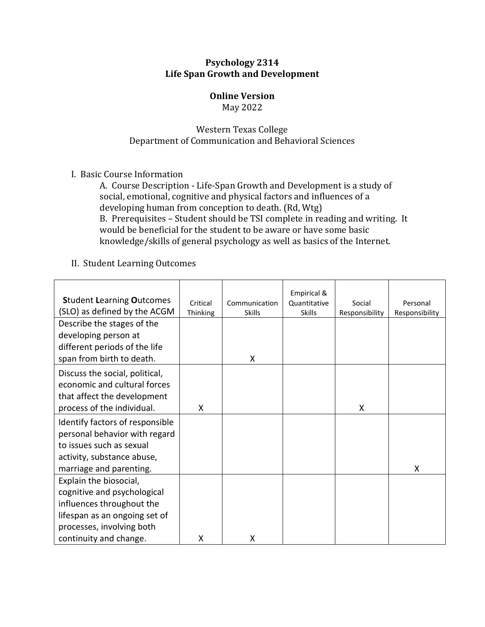#### **Psychology 2314 Life Span Growth and Development**

## **Online Version**

May 2022

### Western Texas College Department of Communication and Behavioral Sciences

I. Basic Course Information

A. Course Description - Life-Span Growth and Development is a study of social, emotional, cognitive and physical factors and influences of a developing human from conception to death. (Rd, Wtg) B. Prerequisites – Student should be TSI complete in reading and writing. It would be beneficial for the student to be aware or have some basic knowledge/skills of general psychology as well as basics of the Internet.

### II. Student Learning Outcomes

| <b>Student Learning Outcomes</b><br>(SLO) as defined by the ACGM | Critical<br>Thinking | Communication<br><b>Skills</b> | Empirical &<br>Quantitative<br><b>Skills</b> | Social<br>Responsibility | Personal<br>Responsibility |
|------------------------------------------------------------------|----------------------|--------------------------------|----------------------------------------------|--------------------------|----------------------------|
| Describe the stages of the                                       |                      |                                |                                              |                          |                            |
| developing person at                                             |                      |                                |                                              |                          |                            |
| different periods of the life                                    |                      |                                |                                              |                          |                            |
| span from birth to death.                                        |                      | X                              |                                              |                          |                            |
| Discuss the social, political,                                   |                      |                                |                                              |                          |                            |
| economic and cultural forces                                     |                      |                                |                                              |                          |                            |
| that affect the development                                      |                      |                                |                                              |                          |                            |
| process of the individual.                                       | X                    |                                |                                              | X                        |                            |
| Identify factors of responsible                                  |                      |                                |                                              |                          |                            |
| personal behavior with regard                                    |                      |                                |                                              |                          |                            |
| to issues such as sexual                                         |                      |                                |                                              |                          |                            |
| activity, substance abuse,                                       |                      |                                |                                              |                          |                            |
| marriage and parenting.                                          |                      |                                |                                              |                          | X                          |
| Explain the biosocial,                                           |                      |                                |                                              |                          |                            |
| cognitive and psychological                                      |                      |                                |                                              |                          |                            |
| influences throughout the                                        |                      |                                |                                              |                          |                            |
| lifespan as an ongoing set of                                    |                      |                                |                                              |                          |                            |
| processes, involving both                                        |                      |                                |                                              |                          |                            |
| continuity and change.                                           | X                    | Χ                              |                                              |                          |                            |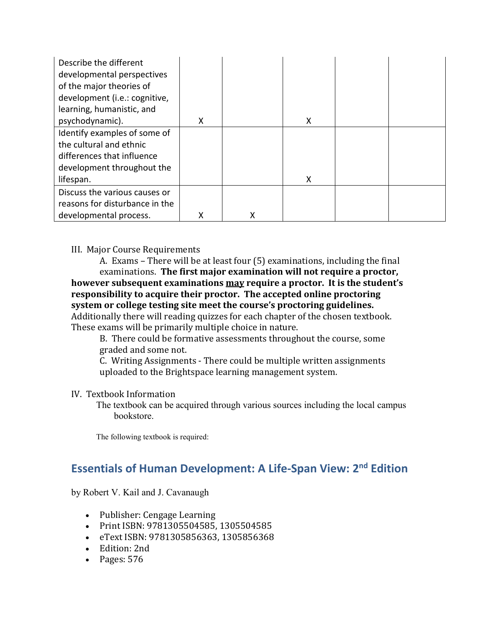| Describe the different<br>developmental perspectives<br>of the major theories of<br>development (i.e.: cognitive, |   |   |   |  |
|-------------------------------------------------------------------------------------------------------------------|---|---|---|--|
| learning, humanistic, and                                                                                         |   |   |   |  |
| psychodynamic).                                                                                                   | X |   | X |  |
| Identify examples of some of                                                                                      |   |   |   |  |
| the cultural and ethnic                                                                                           |   |   |   |  |
| differences that influence                                                                                        |   |   |   |  |
| development throughout the                                                                                        |   |   |   |  |
| lifespan.                                                                                                         |   |   | X |  |
| Discuss the various causes or                                                                                     |   |   |   |  |
| reasons for disturbance in the                                                                                    |   |   |   |  |
| developmental process.                                                                                            |   | X |   |  |

#### III. Major Course Requirements

A. Exams – There will be at least four (5) examinations, including the final examinations. **The first major examination will not require a proctor, however subsequent examinations may require a proctor. It is the student's responsibility to acquire their proctor. The accepted online proctoring system or college testing site meet the course's proctoring guidelines.** 

Additionally there will reading quizzes for each chapter of the chosen textbook. These exams will be primarily multiple choice in nature.

B. There could be formative assessments throughout the course, some graded and some not.

C. Writing Assignments - There could be multiple written assignments uploaded to the Brightspace learning management system.

#### IV. Textbook Information

The textbook can be acquired through various sources including the local campus bookstore.

The following textbook is required:

# **Essentials of Human Development: A Life-Span View: 2nd Edition**

by Robert V. Kail and J. Cavanaugh

- Publisher: Cengage Learning
- Print ISBN: 9781305504585, 1305504585
- eText ISBN: 9781305856363, 1305856368
- Edition: 2nd
- Pages: 576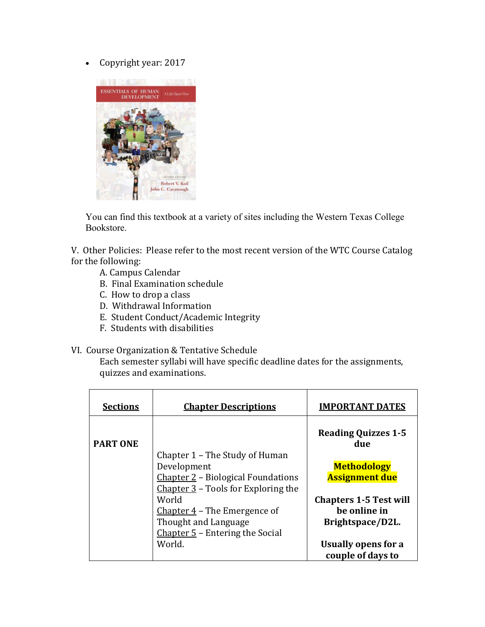• Copyright year: 2017



You can find this textbook at a variety of sites including the Western Texas College Bookstore.

V. Other Policies: Please refer to the most recent version of the WTC Course Catalog for the following:

- A. Campus Calendar
- B. Final Examination schedule
- C. How to drop a class
- D. Withdrawal Information
- E. Student Conduct/Academic Integrity
- F. Students with disabilities

#### VI. Course Organization & Tentative Schedule

Each semester syllabi will have specific deadline dates for the assignments, quizzes and examinations.

| <b>Sections</b> | <b>Chapter Descriptions</b>                                                                                                  | <b>IMPORTANT DATES</b>                                            |
|-----------------|------------------------------------------------------------------------------------------------------------------------------|-------------------------------------------------------------------|
| <b>PART ONE</b> |                                                                                                                              | <b>Reading Quizzes 1-5</b><br>due                                 |
|                 | Chapter 1 – The Study of Human<br>Development<br>Chapter 2 – Biological Foundations<br>Chapter $3$ – Tools for Exploring the | <b>Methodology</b><br><b>Assignment due</b>                       |
|                 | World<br>Chapter $4$ – The Emergence of<br>Thought and Language                                                              | <b>Chapters 1-5 Test will</b><br>be online in<br>Brightspace/D2L. |
|                 | Chapter $5$ – Entering the Social<br>World.                                                                                  | Usually opens for a<br>couple of days to                          |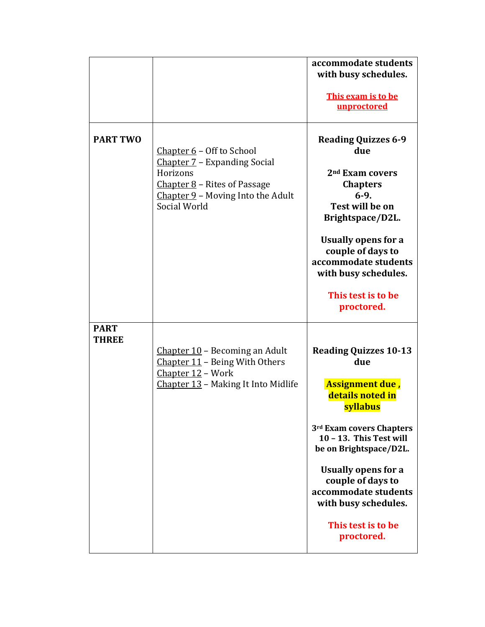|                             |                                                                                                                                                                | accommodate students<br>with busy schedules.<br>This exam is to be<br>unproctored                                                                                                                                                                                                                              |
|-----------------------------|----------------------------------------------------------------------------------------------------------------------------------------------------------------|----------------------------------------------------------------------------------------------------------------------------------------------------------------------------------------------------------------------------------------------------------------------------------------------------------------|
| <b>PART TWO</b>             | Chapter $6$ – Off to School<br>Chapter 7 – Expanding Social<br>Horizons<br>Chapter $8$ – Rites of Passage<br>Chapter 9 - Moving Into the Adult<br>Social World | <b>Reading Quizzes 6-9</b><br>due<br>2 <sup>nd</sup> Exam covers<br><b>Chapters</b><br>$6-9.$<br>Test will be on<br>Brightspace/D2L.<br><b>Usually opens for a</b><br>couple of days to<br>accommodate students<br>with busy schedules.<br>This test is to be<br>proctored.                                    |
| <b>PART</b><br><b>THREE</b> | Chapter 10 - Becoming an Adult<br>Chapter 11 - Being With Others<br>Chapter 12 - Work<br>Chapter 13 - Making It Into Midlife                                   | <b>Reading Quizzes 10-13</b><br>due<br>Assignment due,<br>details noted in<br>syllabus<br>3rd Exam covers Chapters<br>10 - 13. This Test will<br>be on Brightspace/D2L.<br><b>Usually opens for a</b><br>couple of days to<br>accommodate students<br>with busy schedules.<br>This test is to be<br>proctored. |